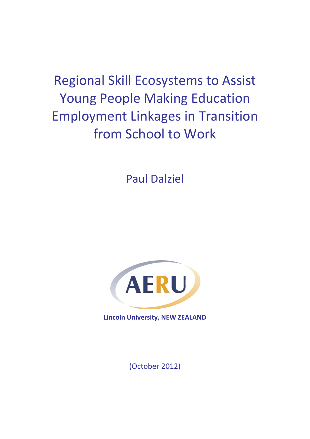Regional Skill Ecosystems to Assist Young People Making Education Employment Linkages in Transition from School to Work

Paul Dalziel



**Lincoln University, NEW ZEALAND** 

(October 2012)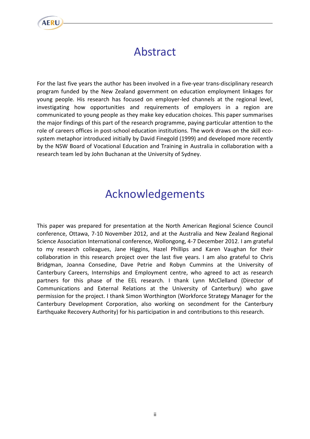

# Abstract

For the last five years the author has been involved in a five-year trans-disciplinary research program funded by the New Zealand government on education employment linkages for young people. His research has focused on employer-led channels at the regional level, investigating how opportunities and requirements of employers in a region are communicated to young people as they make key education choices. This paper summarises the major findings of this part of the research programme, paying particular attention to the role of careers offices in post-school education institutions. The work draws on the skill ecosystem metaphor introduced initially by David Finegold (1999) and developed more recently by the NSW Board of Vocational Education and Training in Australia in collaboration with a research team led by John Buchanan at the University of Sydney.

# Acknowledgements

This paper was prepared for presentation at the North American Regional Science Council conference, Ottawa, 7-10 November 2012, and at the Australia and New Zealand Regional Science Association International conference, Wollongong, 4-7 December 2012. I am grateful to my research colleagues, Jane Higgins, Hazel Phillips and Karen Vaughan for their collaboration in this research project over the last five years. I am also grateful to Chris Bridgman, Joanna Consedine, Dave Petrie and Robyn Cummins at the University of Canterbury Careers, Internships and Employment centre, who agreed to act as research partners for this phase of the EEL research. I thank Lynn McClelland (Director of Communications and External Relations at the University of Canterbury) who gave permission for the project. I thank Simon Worthington (Workforce Strategy Manager for the Canterbury Development Corporation, also working on secondment for the Canterbury Earthquake Recovery Authority) for his participation in and contributions to this research.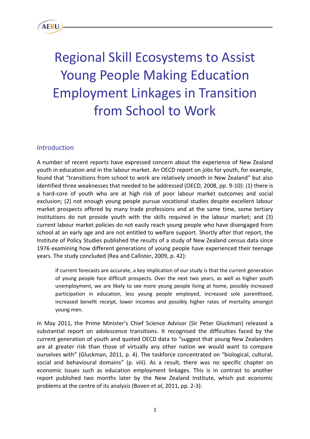

# Regional Skill Ecosystems to Assist Young People Making Education Employment Linkages in Transition from School to Work

### Introduction

A number of recent reports have expressed concern about the experience of New Zealand youth in education and in the labour market. An OECD report on jobs for youth, for example, found that "transitions from school to work are relatively smooth in New Zealand" but also identified three weaknesses that needed to be addressed (OECD, 2008, pp. 9-10): (1) there is a hard-core of youth who are at high risk of poor labour market outcomes and social exclusion; (2) not enough young people pursue vocational studies despite excellent labour market prospects offered by many trade professions and at the same time, some tertiary institutions do not provide youth with the skills required in the labour market; and (3) current labour market policies do not easily reach young people who have disengaged from school at an early age and are not entitled to welfare support. Shortly after that report, the Institute of Policy Studies published the results of a study of New Zealand census data since 1976 examining how different generations of young people have experienced their teenage years. The study concluded (Rea and Callister, 2009, p. 42):

If current forecasts are accurate, a key implication of our study is that the current generation of young people face difficult prospects. Over the next two years, as well as higher youth unemployment, we are likely to see more young people living at home, possibly increased participation in education, less young people employed, increased sole parenthood, increased benefit receipt, lower incomes and possibly higher rates of mortality amongst young men.

In May 2011, the Prime Minister's Chief Science Advisor (Sir Peter Gluckman) released a substantial report on adolescence transitions. It recognised the difficulties faced by the current generation of youth and quoted OECD data to "suggest that young New Zealanders are at greater risk than those of virtually any other nation we would want to compare ourselves with" (Gluckman, 2011, p. 4). The taskforce concentrated on "biological, cultural, social and behavioural domains" (p. viii). As a result, there was no specific chapter on economic issues such as education employment linkages. This is in contrast to another report published two months later by the New Zealand Institute, which put economic problems at the centre of its analysis (Boven *et al*, 2011, pp. 2-3):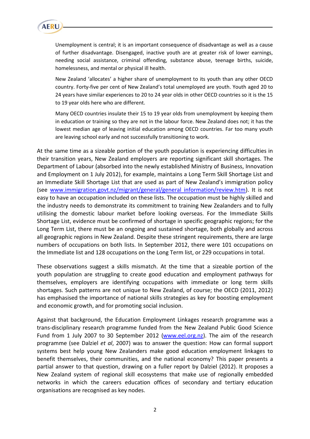

Unemployment is central; it is an important consequence of disadvantage as well as a cause of further disadvantage. Disengaged, inactive youth are at greater risk of lower earnings, needing social assistance, criminal offending, substance abuse, teenage births, suicide, homelessness, and mental or physical ill health.

New Zealand 'allocates' a higher share of unemployment to its youth than any other OECD country. Forty-five per cent of New Zealand's total unemployed are youth. Youth aged 20 to 24 years have similar experiences to 20 to 24 year olds in other OECD countries so it is the 15 to 19 year olds here who are different.

Many OECD countries insulate their 15 to 19 year olds from unemployment by keeping them in education or training so they are not in the labour force. New Zealand does not; it has the lowest median age of leaving initial education among OECD countries. Far too many youth are leaving school early and not successfully transitioning to work.

At the same time as a sizeable portion of the youth population is experiencing difficulties in their transition years, New Zealand employers are reporting significant skill shortages. The Department of Labour (absorbed into the newly established Ministry of Business, Innovation and Employment on 1 July 2012), for example, maintains a Long Term Skill Shortage List and an Immediate Skill Shortage List that are used as part of New Zealand's immigration policy (see [www.immigration.govt.nz/migrant/general/general information/review.htm\)](http://www.immigration.govt.nz/migrant/general/general%20information/review.htm). It is not easy to have an occupation included on these lists. The occupation must be highly skilled and the industry needs to demonstrate its commitment to training New Zealanders and to fully utilising the domestic labour market before looking overseas. For the Immediate Skills Shortage List, evidence must be confirmed of shortage in specific geographic regions; for the Long Term List, there must be an ongoing and sustained shortage, both globally and across all geographic regions in New Zealand. Despite these stringent requirements, there are large numbers of occupations on both lists. In September 2012, there were 101 occupations on the Immediate list and 128 occupations on the Long Term list, or 229 occupations in total.

These observations suggest a skills mismatch. At the time that a sizeable portion of the youth population are struggling to create good education and employment pathways for themselves, employers are identifying occupations with immediate or long term skills shortages. Such patterns are not unique to New Zealand, of course; the OECD (2011, 2012) has emphasised the importance of national skills strategies as key for boosting employment and economic growth, and for promoting social inclusion.

Against that background, the Education Employment Linkages research programme was a trans-disciplinary research programme funded from the New Zealand Public Good Science Fund from 1 July 2007 to 30 September 2012 [\(www.eel.org.nz\)](http://www.eel.org.nz/). The aim of the research programme (see Dalziel *et al*, 2007) was to answer the question: How can formal support systems best help young New Zealanders make good education employment linkages to benefit themselves, their communities, and the national economy? This paper presents a partial answer to that question, drawing on a fuller report by Dalziel (2012). It proposes a New Zealand system of regional skill ecosystems that make use of regionally embedded networks in which the careers education offices of secondary and tertiary education organisations are recognised as key nodes.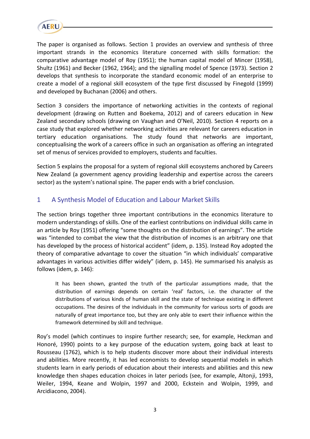

The paper is organised as follows. Section 1 provides an overview and synthesis of three important strands in the economics literature concerned with skills formation: the comparative advantage model of Roy (1951); the human capital model of Mincer (1958), Shultz (1961) and Becker (1962, 1964); and the signalling model of Spence (1973). Section 2 develops that synthesis to incorporate the standard economic model of an enterprise to create a model of a regional skill ecosystem of the type first discussed by Finegold (1999) and developed by Buchanan (2006) and others.

Section 3 considers the importance of networking activities in the contexts of regional development (drawing on Rutten and Boekema, 2012) and of careers education in New Zealand secondary schools (drawing on Vaughan and O'Neil, 2010). Section 4 reports on a case study that explored whether networking activities are relevant for careers education in tertiary education organisations. The study found that networks are important, conceptualising the work of a careers office in such an organisation as offering an integrated set of menus of services provided to employers, students and faculties.

Section 5 explains the proposal for a system of regional skill ecosystems anchored by Careers New Zealand (a government agency providing leadership and expertise across the careers sector) as the system's national spine. The paper ends with a brief conclusion.

# 1 A Synthesis Model of Education and Labour Market Skills

The section brings together three important contributions in the economics literature to modern understandings of skills. One of the earliest contributions on individual skills came in an article by Roy (1951) offering "some thoughts on the distribution of earnings". The article was "intended to combat the view that the distribution of incomes is an arbitrary one that has developed by the process of historical accident" (idem, p. 135). Instead Roy adopted the theory of comparative advantage to cover the situation "in which individuals' comparative advantages in various activities differ widely" (idem, p. 145). He summarised his analysis as follows (idem, p. 146):

It has been shown, granted the truth of the particular assumptions made, that the distribution of earnings depends on certain 'real' factors, i.e. the character of the distributions of various kinds of human skill and the state of technique existing in different occupations. The desires of the individuals in the community for various sorts of goods are naturally of great importance too, but they are only able to exert their influence within the framework determined by skill and technique.

Roy's model (which continues to inspire further research; see, for example, Heckman and Honoré, 1990) points to a key purpose of the education system, going back at least to Rousseau (1762), which is to help students discover more about their individual interests and abilities. More recently, it has led economists to develop sequential models in which students learn in early periods of education about their interests and abilities and this new knowledge then shapes education choices in later periods (see, for example, Altonji, 1993, Weiler, 1994, Keane and Wolpin, 1997 and 2000, Eckstein and Wolpin, 1999, and Arcidiacono, 2004).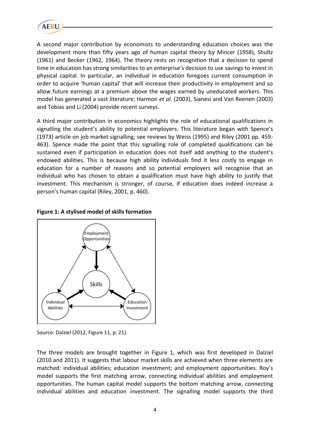

A second major contribution by economists to understanding education choices was the development more than fifty years ago of human capital theory by Mincer (1958), Shultz (1961) and Becker (1962, 1964). The theory rests on recognition that a decision to spend time in education has strong similarities to an enterprise's decision to use savings to invest in physical capital. In particular, an individual in education foregoes current consumption in order to acquire 'human capital' that will increase their productivity in employment and so allow future earnings at a premium above the wages earned by uneducated workers. This model has generated a vast literature; Harmon *et al*. (2003), Sianesi and Van Reenen (2003) and Tobias and Li (2004) provide recent surveys.

A third major contribution in economics highlights the role of educational qualifications in signalling the student's ability to potential employers. This literature began with Spence's (1973) article on job market signalling; see reviews by Weiss (1995) and Riley (2001 pp. 459- 463). Spence made the point that this signalling role of completed qualifications can be sustained even if participation in education does not itself add anything to the student's endowed abilities. This is because high ability individuals find it less costly to engage in education for a number of reasons and so potential employers will recognise that an individual who has chosen to obtain a qualification must have high ability to justify that investment. This mechanism is stronger, of course, if education does indeed increase a person's human capital (Riley, 2001, p. 460).



#### **Figure 1: A stylised model of skills formation**

Source: Dalziel (2012, Figure 11, p. 21).

The three models are brought together in Figure 1, which was first developed in Dalziel (2010 and 2011). It suggests that labour market skills are achieved when three elements are matched: individual abilities; education investment; and employment opportunities. Roy's model supports the first matching arrow, connecting individual abilities and employment opportunities. The human capital model supports the bottom matching arrow, connecting individual abilities and education investment. The signalling model supports the third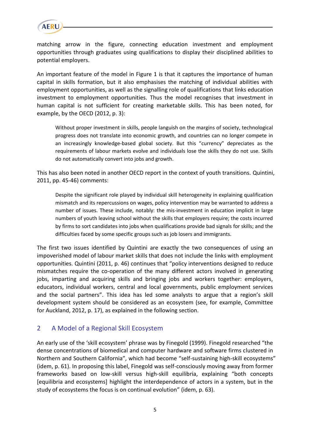

matching arrow in the figure, connecting education investment and employment opportunities through graduates using qualifications to display their disciplined abilities to potential employers.

An important feature of the model in Figure 1 is that it captures the importance of human capital in skills formation, but it also emphasises the matching of individual abilities with employment opportunities, as well as the signalling role of qualifications that links education investment to employment opportunities. Thus the model recognises that investment in human capital is not sufficient for creating marketable skills. This has been noted, for example, by the OECD (2012, p. 3):

Without proper investment in skills, people languish on the margins of society, technological progress does not translate into economic growth, and countries can no longer compete in an increasingly knowledge-based global society. But this "currency" depreciates as the requirements of labour markets evolve and individuals lose the skills they do not use. Skills do not automatically convert into jobs and growth.

This has also been noted in another OECD report in the context of youth transitions. Quintini, 2011, pp. 45-46) comments:

Despite the significant role played by individual skill heterogeneity in explaining qualification mismatch and its repercussions on wages, policy intervention may be warranted to address a number of issues. These include, notably: the mis-investment in education implicit in large numbers of youth leaving school without the skills that employers require; the costs incurred by firms to sort candidates into jobs when qualifications provide bad signals for skills; and the difficulties faced by some specific groups such as job losers and immigrants.

The first two issues identified by Quintini are exactly the two consequences of using an impoverished model of labour market skills that does not include the links with employment opportunities. Quintini (2011, p. 46) continues that "policy interventions designed to reduce mismatches require the co-operation of the many different actors involved in generating jobs, imparting and acquiring skills and bringing jobs and workers together: employers, educators, individual workers, central and local governments, public employment services and the social partners". This idea has led some analysts to argue that a region's skill development system should be considered as an ecosystem (see, for example, Committee for Auckland, 2012, p. 17), as explained in the following section.

# 2 A Model of a Regional Skill Ecosystem

An early use of the 'skill ecosystem' phrase was by Finegold (1999). Finegold researched "the dense concentrations of biomedical and computer hardware and software firms clustered in Northern and Southern California", which had become "self-sustaining high-skill ecosystems" (idem, p. 61). In proposing this label, Finegold was self-consciously moving away from former frameworks based on low-skill versus high-skill equilibria, explaining "both concepts [equilibria and ecosystems] highlight the interdependence of actors in a system, but in the study of ecosystems the focus is on continual evolution" (idem, p. 63).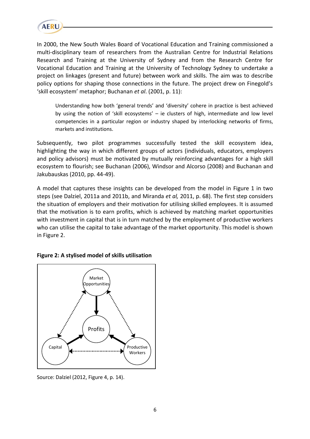

In 2000, the New South Wales Board of Vocational Education and Training commissioned a multi-disciplinary team of researchers from the Australian Centre for Industrial Relations Research and Training at the University of Sydney and from the Research Centre for Vocational Education and Training at the University of Technology Sydney to undertake a project on linkages (present and future) between work and skills. The aim was to describe policy options for shaping those connections in the future. The project drew on Finegold's 'skill ecosystem' metaphor; Buchanan *et al*. (2001, p. 11):

Understanding how both 'general trends' and 'diversity' cohere in practice is best achieved by using the notion of 'skill ecosystems' – ie clusters of high, intermediate and low level competencies in a particular region or industry shaped by interlocking networks of firms, markets and institutions.

Subsequently, two pilot programmes successfully tested the skill ecosystem idea, highlighting the way in which different groups of actors (individuals, educators, employers and policy advisors) must be motivated by mutually reinforcing advantages for a high skill ecosystem to flourish; see Buchanan (2006), Windsor and Alcorso (2008) and Buchanan and Jakubauskas (2010, pp. 44-49).

A model that captures these insights can be developed from the model in Figure 1 in two steps (see Dalziel, 2011a and 2011b, and Miranda *et al,* 2011, p. 68). The first step considers the situation of employers and their motivation for utilising skilled employees. It is assumed that the motivation is to earn profits, which is achieved by matching market opportunities with investment in capital that is in turn matched by the employment of productive workers who can utilise the capital to take advantage of the market opportunity. This model is shown in Figure 2.



#### **Figure 2: A stylised model of skills utilisation**

Source: Dalziel (2012, Figure 4, p. 14).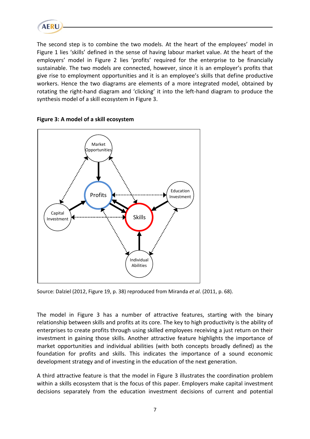

The second step is to combine the two models. At the heart of the employees' model in Figure 1 lies 'skills' defined in the sense of having labour market value. At the heart of the employers' model in Figure 2 lies 'profits' required for the enterprise to be financially sustainable. The two models are connected, however, since it is an employer's profits that give rise to employment opportunities and it is an employee's skills that define productive workers. Hence the two diagrams are elements of a more integrated model, obtained by rotating the right-hand diagram and 'clicking' it into the left-hand diagram to produce the synthesis model of a skill ecosystem in Figure 3.





Source: Dalziel (2012, Figure 19, p. 38) reproduced from Miranda *et al*. (2011, p. 68).

The model in Figure 3 has a number of attractive features, starting with the binary relationship between skills and profits at its core. The key to high productivity is the ability of enterprises to create profits through using skilled employees receiving a just return on their investment in gaining those skills. Another attractive feature highlights the importance of market opportunities and individual abilities (with both concepts broadly defined) as the foundation for profits and skills. This indicates the importance of a sound economic development strategy and of investing in the education of the next generation.

A third attractive feature is that the model in Figure 3 illustrates the coordination problem within a skills ecosystem that is the focus of this paper. Employers make capital investment decisions separately from the education investment decisions of current and potential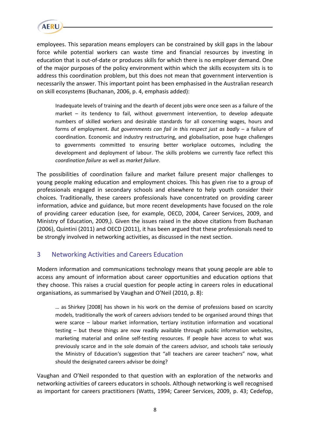

employees. This separation means employers can be constrained by skill gaps in the labour force while potential workers can waste time and financial resources by investing in education that is out-of-date or produces skills for which there is no employer demand. One of the major purposes of the policy environment within which the skills ecosystem sits is to address this coordination problem, but this does not mean that government intervention is necessarily the answer. This important point has been emphasised in the Australian research on skill ecosystems (Buchanan, 2006, p. 4, emphasis added):

Inadequate levels of training and the dearth of decent jobs were once seen as a failure of the market – its tendency to fail, without government intervention, to develop adequate numbers of skilled workers and desirable standards for all concerning wages, hours and forms of employment. *But governments can fail in this respect just as badly* – a failure of coordination. Economic and industry restructuring, and globalisation, pose huge challenges to governments committed to ensuring better workplace outcomes, including the development and deployment of labour. The skills problems we currently face reflect this *coordination failure* as well as *market failure*.

The possibilities of coordination failure and market failure present major challenges to young people making education and employment choices. This has given rise to a group of professionals engaged in secondary schools and elsewhere to help youth consider their choices. Traditionally, these careers professionals have concentrated on providing career information, advice and guidance, but more recent developments have focused on the role of providing career education (see, for example, OECD, 2004, Career Services, 2009, and Ministry of Education, 2009,). Given the issues raised in the above citations from Buchanan (2006), Quintini (2011) and OECD (2011), it has been argued that these professionals need to be strongly involved in networking activities, as discussed in the next section.

# 3 Networking Activities and Careers Education

Modern information and communications technology means that young people are able to access any amount of information about career opportunities and education options that they choose. This raises a crucial question for people acting in careers roles in educational organisations, as summarised by Vaughan and O'Neil (2010, p. 8):

… as Shirkey [2008] has shown in his work on the demise of professions based on scarcity models, traditionally the work of careers advisors tended to be organised around things that were scarce – labour market information, tertiary institution information and vocational testing – but these things are now readily available through public information websites, marketing material and online self-testing resources. If people have access to what was previously scarce and in the sole domain of the careers advisor, and schools take seriously the Ministry of Education's suggestion that "all teachers are career teachers" now, what should the designated careers advisor be doing?

Vaughan and O'Neil responded to that question with an exploration of the networks and networking activities of careers educators in schools. Although networking is well recognised as important for careers practitioners (Watts, 1994; Career Services, 2009, p. 43; Cedefop,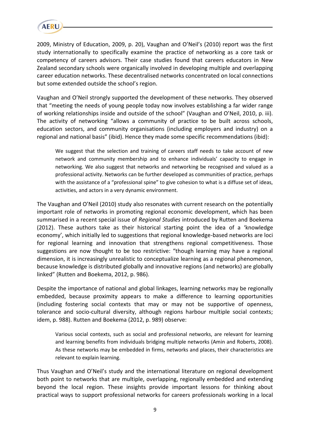

2009, Ministry of Education, 2009, p. 20), Vaughan and O'Neil's (2010) report was the first study internationally to specifically examine the practice of networking as a core task or competency of careers advisors. Their case studies found that careers educators in New Zealand secondary schools were organically involved in developing multiple and overlapping career education networks. These decentralised networks concentrated on local connections but some extended outside the school's region.

Vaughan and O'Neil strongly supported the development of these networks. They observed that "meeting the needs of young people today now involves establishing a far wider range of working relationships inside and outside of the school" (Vaughan and O'Neil, 2010, p. iii). The activity of networking "allows a community of practice to be built across schools, education sectors, and community organisations (including employers and industry) on a regional and national basis" (ibid). Hence they made some specific recommendations (ibid):

We suggest that the selection and training of careers staff needs to take account of new network and community membership and to enhance individuals' capacity to engage in networking. We also suggest that networks and networking be recognised and valued as a professional activity. Networks can be further developed as communities of practice, perhaps with the assistance of a "professional spine" to give cohesion to what is a diffuse set of ideas, activities, and actors in a very dynamic environment.

The Vaughan and O'Neil (2010) study also resonates with current research on the potentially important role of networks in promoting regional economic development, which has been summarised in a recent special issue of *Regional Studies* introduced by Rutten and Boekema (2012). These authors take as their historical starting point the idea of a 'knowledge economy', which initially led to suggestions that regional knowledge-based networks are loci for regional learning and innovation that strengthens regional competitiveness. Those suggestions are now thought to be too restrictive: "though learning may have a regional dimension, it is increasingly unrealistic to conceptualize learning as a regional phenomenon, because knowledge is distributed globally and innovative regions (and networks) are globally linked" (Rutten and Boekema, 2012, p. 986).

Despite the importance of national and global linkages, learning networks may be regionally embedded, because proximity appears to make a difference to learning opportunities (including fostering social contexts that may or may not be supportive of openness, tolerance and socio-cultural diversity, although regions harbour multiple social contexts; idem, p. 988). Rutten and Boekema (2012, p. 989) observe:

Various social contexts, such as social and professional networks, are relevant for learning and learning benefits from individuals bridging multiple networks (Amin and Roberts, 2008). As these networks may be embedded in firms, networks and places, their characteristics are relevant to explain learning.

Thus Vaughan and O'Neil's study and the international literature on regional development both point to networks that are multiple, overlapping, regionally embedded and extending beyond the local region. These insights provide important lessons for thinking about practical ways to support professional networks for careers professionals working in a local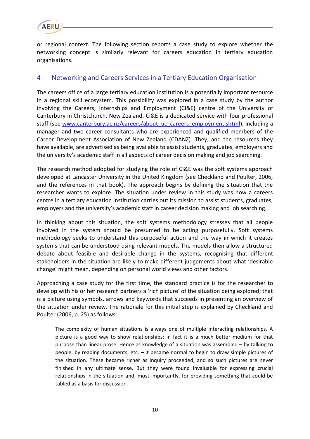

or regional context. The following section reports a case study to explore whether the networking concept is similarly relevant for careers education in tertiary education organisations.

# 4 Networking and Careers Services in a Tertiary Education Organisation

The careers office of a large tertiary education institution is a potentially important resource in a regional skill ecosystem. This possibility was explored in a case study by the author involving the Careers, Internships and Employment (CI&E) centre of the University of Canterbury in Christchurch, New Zealand. CI&E is a dedicated service with four professional staff (see [www.canterbury.ac.nz/careers/about\\_uc\\_careers\\_employment.shtml\)](http://www.canterbury.ac.nz/careers/about_uc_careers_employment.shtml), including a manager and two career consultants who are experienced and qualified members of the Career Development Association of New Zealand (CDANZ). They, and the resources they have available, are advertised as being available to assist students, graduates, employers and the university's academic staff in all aspects of career decision making and job searching.

The research method adopted for studying the role of CI&E was the soft systems approach developed at Lancaster University in the United Kingdom (see Checkland and Poulter, 2006, and the references in that book). The approach begins by defining the situation that the researcher wants to explore. The situation under review in this study was how a careers centre in a tertiary education institution carries out its mission to assist students, graduates, employers and the university's academic staff in career decision making and job searching.

In thinking about this situation, the soft systems methodology stresses that all people involved in the system should be presumed to be acting purposefully. Soft systems methodology seeks to understand this purposeful action and the way in which it creates systems that can be understood using relevant models. The models then allow a structured debate about feasible and desirable change in the systems, recognising that different stakeholders in the situation are likely to make different judgements about what 'desirable change' might mean, depending on personal world views and other factors.

Approaching a case study for the first time, the standard practice is for the researcher to develop with his or her research partners a 'rich picture' of the situation being explored; that is a picture using symbols, arrows and keywords that succeeds in presenting an overview of the situation under review. The rationale for this initial step is explained by Checkland and Poulter (2006, p. 25) as follows:

The complexity of human situations is always one of multiple interacting relationships. A picture is a good way to show relationships; in fact it is a much better medium for that purpose than linear prose. Hence as knowledge of a situation was assembled – by talking to people, by reading documents, etc. – it became normal to begin to draw simple pictures of the situation. These became richer as inquiry proceeded, and so such pictures are never finished in any ultimate sense. But they were found invaluable for expressing crucial relationships in the situation and, most importantly, for providing something that could be tabled as a basis for discussion.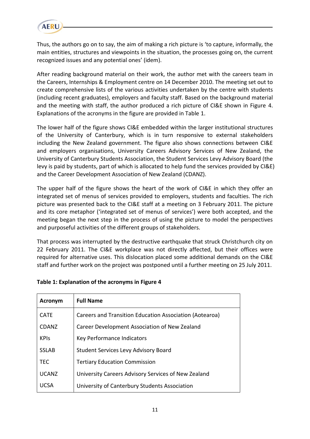

Thus, the authors go on to say, the aim of making a rich picture is 'to capture, informally, the main entities, structures and viewpoints in the situation, the processes going on, the current recognized issues and any potential ones' (idem).

After reading background material on their work, the author met with the careers team in the Careers, Internships & Employment centre on 14 December 2010. The meeting set out to create comprehensive lists of the various activities undertaken by the centre with students (including recent graduates), employers and faculty staff. Based on the background material and the meeting with staff, the author produced a rich picture of CI&E shown in Figure 4. Explanations of the acronyms in the figure are provided in Table 1.

The lower half of the figure shows CI&E embedded within the larger institutional structures of the University of Canterbury, which is in turn responsive to external stakeholders including the New Zealand government. The figure also shows connections between CI&E and employers organisations, University Careers Advisory Services of New Zealand, the University of Canterbury Students Association, the Student Services Levy Advisory Board (the levy is paid by students, part of which is allocated to help fund the services provided by CI&E) and the Career Development Association of New Zealand (CDANZ).

The upper half of the figure shows the heart of the work of CI&E in which they offer an integrated set of menus of services provided to employers, students and faculties. The rich picture was presented back to the CI&E staff at a meeting on 3 February 2011. The picture and its core metaphor ('integrated set of menus of services') were both accepted, and the meeting began the next step in the process of using the picture to model the perspectives and purposeful activities of the different groups of stakeholders.

That process was interrupted by the destructive earthquake that struck Christchurch city on 22 February 2011. The CI&E workplace was not directly affected, but their offices were required for alternative uses. This dislocation placed some additional demands on the CI&E staff and further work on the project was postponed until a further meeting on 25 July 2011.

| <b>Acronym</b> | <b>Full Name</b>                                        |
|----------------|---------------------------------------------------------|
| <b>CATF</b>    | Careers and Transition Education Association (Aotearoa) |
| <b>CDANZ</b>   | Career Development Association of New Zealand           |
| <b>KPIS</b>    | Key Performance Indicators                              |
| <b>SSLAB</b>   | <b>Student Services Levy Advisory Board</b>             |
| <b>TEC</b>     | <b>Tertiary Education Commission</b>                    |
| <b>UCANZ</b>   | University Careers Advisory Services of New Zealand     |
| UCSA           | University of Canterbury Students Association           |

#### **Table 1: Explanation of the acronyms in Figure 4**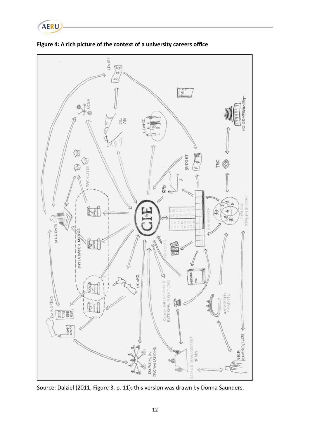



**Figure 4: A rich picture of the context of a university careers office**

Source: Dalziel (2011, Figure 3, p. 11); this version was drawn by Donna Saunders.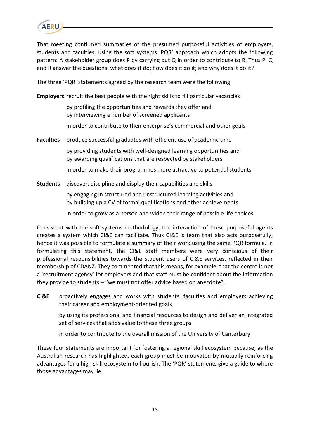

That meeting confirmed summaries of the presumed purposeful activities of employers, students and faculties, using the soft systems 'PQR' approach which adopts the following pattern: A stakeholder group does P by carrying out Q in order to contribute to R. Thus P, Q and R answer the questions: what does it do; how does it do it; and why does it do it?

The three 'PQR' statements agreed by the research team were the following:

**Employers** recruit the best people with the right skills to fill particular vacancies

by profiling the opportunities and rewards they offer and by interviewing a number of screened applicants

in order to contribute to their enterprise's commercial and other goals.

**Faculties** produce successful graduates with efficient use of academic time

by providing students with well-designed learning opportunities and by awarding qualifications that are respected by stakeholders

in order to make their programmes more attractive to potential students.

**Students** discover, discipline and display their capabilities and skills

 by engaging in structured and unstructured learning activities and by building up a CV of formal qualifications and other achievements

in order to grow as a person and widen their range of possible life choices.

Consistent with the soft systems methodology, the interaction of these purposeful agents creates a system which CI&E can facilitate. Thus CI&E is team that also acts purposefully; hence it was possible to formulate a summary of their work using the same PQR formula. In formulating this statement, the CI&E staff members were very conscious of their professional responsibilities towards the student users of CI&E services, reflected in their membership of CDANZ. They commented that this means, for example, that the centre is not a 'recruitment agency' for employers and that staff must be confident about the information they provide to students – "we must not offer advice based on anecdote".

**CI&E** proactively engages and works with students, faculties and employers achieving their career and employment-oriented goals

 by using its professional and financial resources to design and deliver an integrated set of services that adds value to these three groups

in order to contribute to the overall mission of the University of Canterbury.

These four statements are important for fostering a regional skill ecosystem because, as the Australian research has highlighted, each group must be motivated by mutually reinforcing advantages for a high skill ecosystem to flourish. The 'PQR' statements give a guide to where those advantages may lie.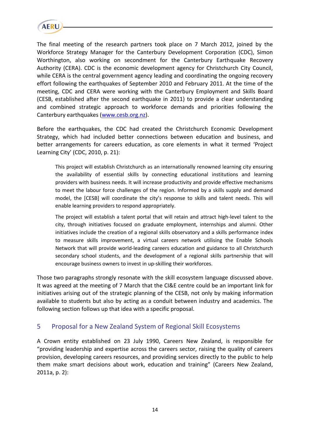

The final meeting of the research partners took place on 7 March 2012, joined by the Workforce Strategy Manager for the Canterbury Development Corporation (CDC), Simon Worthington, also working on secondment for the Canterbury Earthquake Recovery Authority (CERA). CDC is the economic development agency for Christchurch City Council, while CERA is the central government agency leading and coordinating the ongoing recovery effort following the earthquakes of September 2010 and February 2011. At the time of the meeting, CDC and CERA were working with the Canterbury Employment and Skills Board (CESB, established after the second earthquake in 2011) to provide a clear understanding and combined strategic approach to workforce demands and priorities following the Canterbury earthquakes [\(www.cesb.org.nz\)](http://www.cesb.org.nz/).

Before the earthquakes, the CDC had created the Christchurch Economic Development Strategy, which had included better connections between education and business, and better arrangements for careers education, as core elements in what it termed 'Project Learning City' (CDC, 2010, p. 21):

This project will establish Christchurch as an internationally renowned learning city ensuring the availability of essential skills by connecting educational institutions and learning providers with business needs. It will increase productivity and provide effective mechanisms to meet the labour force challenges of the region. Informed by a skills supply and demand model, the [CESB] will coordinate the city's response to skills and talent needs. This will enable learning providers to respond appropriately.

The project will establish a talent portal that will retain and attract high-level talent to the city, through initiatives focused on graduate employment, internships and alumni. Other initiatives include the creation of a regional skills observatory and a skills performance index to measure skills improvement, a virtual careers network utilising the Enable Schools Network that will provide world-leading careers education and guidance to all Christchurch secondary school students, and the development of a regional skills partnership that will encourage business owners to invest in up-skilling their workforces.

Those two paragraphs strongly resonate with the skill ecosystem language discussed above. It was agreed at the meeting of 7 March that the CI&E centre could be an important link for initiatives arising out of the strategic planning of the CESB, not only by making information available to students but also by acting as a conduit between industry and academics. The following section follows up that idea with a specific proposal.

# 5 Proposal for a New Zealand System of Regional Skill Ecosystems

A Crown entity established on 23 July 1990, Careers New Zealand, is responsible for "providing leadership and expertise across the careers sector, raising the quality of careers provision, developing careers resources, and providing services directly to the public to help them make smart decisions about work, education and training" (Careers New Zealand, 2011a, p. 2):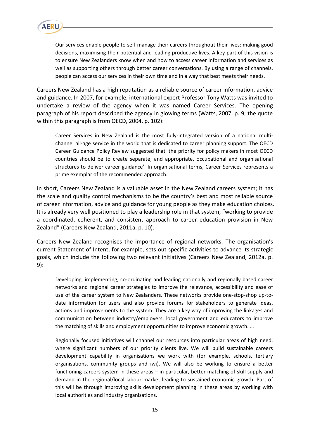

Our services enable people to self-manage their careers throughout their lives: making good decisions, maximising their potential and leading productive lives. A key part of this vision is to ensure New Zealanders know when and how to access career information and services as well as supporting others through better career conversations. By using a range of channels, people can access our services in their own time and in a way that best meets their needs.

Careers New Zealand has a high reputation as a reliable source of career information, advice and guidance. In 2007, for example, international expert Professor Tony Watts was invited to undertake a review of the agency when it was named Career Services. The opening paragraph of his report described the agency in glowing terms (Watts, 2007, p. 9; the quote within this paragraph is from OECD, 2004, p. 102):

Career Services in New Zealand is the most fully-integrated version of a national multichannel all-age service in the world that is dedicated to career planning support. The OECD Career Guidance Policy Review suggested that 'the priority for policy makers in most OECD countries should be to create separate, and appropriate, occupational and organisational structures to deliver career guidance'. In organisational terms, Career Services represents a prime exemplar of the recommended approach.

In short, Careers New Zealand is a valuable asset in the New Zealand careers system; it has the scale and quality control mechanisms to be the country's best and most reliable source of career information, advice and guidance for young people as they make education choices. It is already very well positioned to play a leadership role in that system, "working to provide a coordinated, coherent, and consistent approach to career education provision in New Zealand" (Careers New Zealand, 2011a, p. 10).

Careers New Zealand recognises the importance of regional networks. The organisation's current Statement of Intent, for example, sets out specific activities to advance its strategic goals, which include the following two relevant initiatives (Careers New Zealand, 2012a, p. 9):

Developing, implementing, co-ordinating and leading nationally and regionally based career networks and regional career strategies to improve the relevance, accessibility and ease of use of the career system to New Zealanders. These networks provide one-stop-shop up-todate information for users and also provide forums for stakeholders to generate ideas, actions and improvements to the system. They are a key way of improving the linkages and communication between industry/employers, local government and educators to improve the matching of skills and employment opportunities to improve economic growth. …

Regionally focused initiatives will channel our resources into particular areas of high need, where significant numbers of our priority clients live. We will build sustainable careers development capability in organisations we work with (for example, schools, tertiary organisations, community groups and iwi). We will also be working to ensure a better functioning careers system in these areas – in particular, better matching of skill supply and demand in the regional/local labour market leading to sustained economic growth. Part of this will be through improving skills development planning in these areas by working with local authorities and industry organisations.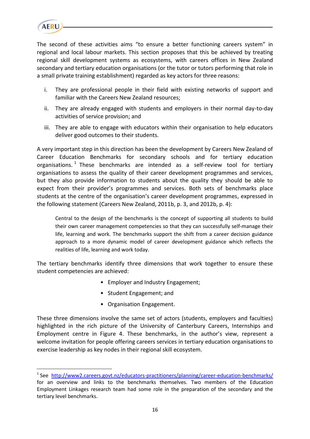

 $\overline{a}$ 

The second of these activities aims "to ensure a better functioning careers system" in regional and local labour markets. This section proposes that this be achieved by treating regional skill development systems as ecosystems, with careers offices in New Zealand secondary and tertiary education organisations (or the tutor or tutors performing that role in a small private training establishment) regarded as key actors for three reasons:

- i. They are professional people in their field with existing networks of support and familiar with the Careers New Zealand resources;
- ii. They are already engaged with students and employers in their normal day-to-day activities of service provision; and
- iii. They are able to engage with educators within their organisation to help educators deliver good outcomes to their students.

A very important step in this direction has been the development by Careers New Zealand of Career Education Benchmarks for secondary schools and for tertiary education organisations. <sup>1</sup> These benchmarks are intended as a self-review tool for tertiary organisations to assess the quality of their career development programmes and services, but they also provide information to students about the quality they should be able to expect from their provider's programmes and services. Both sets of benchmarks place students at the centre of the organisation's career development programmes, expressed in the following statement (Careers New Zealand, 2011b, p. 3, and 2012b, p. 4):

Central to the design of the benchmarks is the concept of supporting all students to build their own career management competencies so that they can successfully self-manage their life, learning and work. The benchmarks support the shift from a career decision guidance approach to a more dynamic model of career development guidance which reflects the realities of life, learning and work today.

The tertiary benchmarks identify three dimensions that work together to ensure these student competencies are achieved:

- Employer and Industry Engagement;
- Student Engagement; and
- Organisation Engagement.

These three dimensions involve the same set of actors (students, employers and faculties) highlighted in the rich picture of the University of Canterbury Careers, Internships and Employment centre in Figure 4. These benchmarks, in the author's view, represent a welcome invitation for people offering careers services in tertiary education organisations to exercise leadership as key nodes in their regional skill ecosystem.

<sup>&</sup>lt;sup>1</sup> See <http://www2.careers.govt.nz/educators-practitioners/planning/career-education-benchmarks/> for an overview and links to the benchmarks themselves. Two members of the Education Employment Linkages research team had some role in the preparation of the secondary and the tertiary level benchmarks.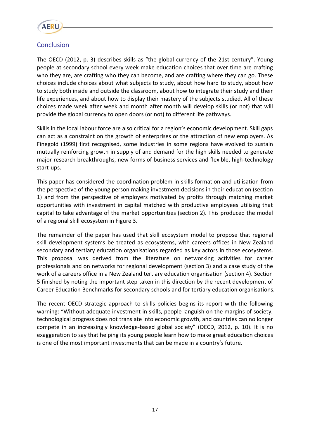

# **Conclusion**

The OECD (2012, p. 3) describes skills as "the global currency of the 21st century". Young people at secondary school every week make education choices that over time are crafting who they are, are crafting who they can become, and are crafting where they can go. These choices include choices about what subjects to study, about how hard to study, about how to study both inside and outside the classroom, about how to integrate their study and their life experiences, and about how to display their mastery of the subjects studied. All of these choices made week after week and month after month will develop skills (or not) that will provide the global currency to open doors (or not) to different life pathways.

Skills in the local labour force are also critical for a region's economic development. Skill gaps can act as a constraint on the growth of enterprises or the attraction of new employers. As Finegold (1999) first recognised, some industries in some regions have evolved to sustain mutually reinforcing growth in supply of and demand for the high skills needed to generate major research breakthroughs, new forms of business services and flexible, high-technology start-ups.

This paper has considered the coordination problem in skills formation and utilisation from the perspective of the young person making investment decisions in their education (section 1) and from the perspective of employers motivated by profits through matching market opportunities with investment in capital matched with productive employees utilising that capital to take advantage of the market opportunities (section 2). This produced the model of a regional skill ecosystem in Figure 3.

The remainder of the paper has used that skill ecosystem model to propose that regional skill development systems be treated as ecosystems, with careers offices in New Zealand secondary and tertiary education organisations regarded as key actors in those ecosystems. This proposal was derived from the literature on networking activities for career professionals and on networks for regional development (section 3) and a case study of the work of a careers office in a New Zealand tertiary education organisation (section 4). Section 5 finished by noting the important step taken in this direction by the recent development of Career Education Benchmarks for secondary schools and for tertiary education organisations.

The recent OECD strategic approach to skills policies begins its report with the following warning: "Without adequate investment in skills, people languish on the margins of society, technological progress does not translate into economic growth, and countries can no longer compete in an increasingly knowledge-based global society" (OECD, 2012, p. 10). It is no exaggeration to say that helping its young people learn how to make great education choices is one of the most important investments that can be made in a country's future.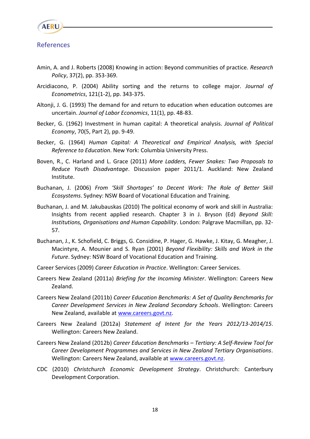

#### References

- Amin, A. and J. Roberts (2008) Knowing in action: Beyond communities of practice. *Research Policy*, 37(2), pp. 353-369.
- Arcidiacono, P. (2004) Ability sorting and the returns to college major. *Journal of Econometrics*, 121(1-2), pp. 343-375.
- Altonji, J. G. (1993) The demand for and return to education when education outcomes are uncertain. *Journal of Labor Economics*, 11(1), pp. 48-83.
- Becker, G. (1962) Investment in human capital: A theoretical analysis. *Journal of Political Economy*, 70(5, Part 2), pp. 9-49.
- Becker, G. (1964) *Human Capital: A Theoretical and Empirical Analysis, with Special Reference to Education*. New York: Columbia University Press.
- Boven, R., C. Harland and L. Grace (2011) *More Ladders, Fewer Snakes: Two Proposals to Reduce Youth Disadvantage*. Discussion paper 2011/1. Auckland: New Zealand Institute.
- Buchanan, J. (2006) *From 'Skill Shortages' to Decent Work: The Role of Better Skill Ecosystems*. Sydney: NSW Board of Vocational Education and Training.
- Buchanan, J. and M. Jakubauskas (2010) The political economy of work and skill in Australia: Insights from recent applied research. Chapter 3 in J. Bryson (Ed) *Beyond Skill: Institutions, Organisations and Human Capability*. London: Palgrave Macmillan, pp. 32- 57.
- Buchanan, J., K. Schofield, C. Briggs, G. Considine, P. Hager, G. Hawke, J. Kitay, G. Meagher, J. Macintyre, A. Mounier and S. Ryan (2001) *Beyond Flexibility: Skills and Work in the Future*. Sydney: NSW Board of Vocational Education and Training.
- Career Services (2009) *Career Education in Practice*. Wellington: Career Services.
- Careers New Zealand (2011a) *Briefing for the Incoming Minister*. Wellington: Careers New Zealand.
- Careers New Zealand (2011b) *Career Education Benchmarks: A Set of Quality Benchmarks for Career Development Services in New Zealand Secondary Schools*. Wellington: Careers New Zealand, available at [www.careers.govt.nz.](http://www.careers.govt.nz/)
- Careers New Zealand (2012a) *Statement of Intent for the Years 2012/13-2014/15*. Wellington: Careers New Zealand.
- Careers New Zealand (2012b) *Career Education Benchmarks – Tertiary: A Self-Review Tool for Career Development Programmes and Services in New Zealand Tertiary Organisations*. Wellington: Careers New Zealand, available at [www.careers.govt.nz.](http://www.careers.govt.nz/)
- CDC (2010) *Christchurch Economic Development Strategy*. Christchurch: Canterbury Development Corporation.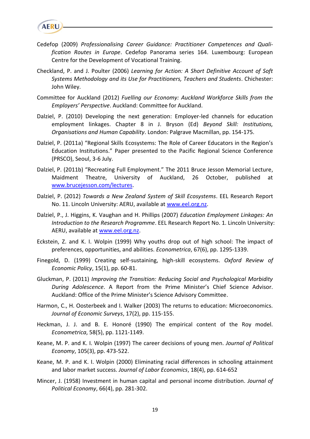

- Cedefop (2009) *Professionalising Career Guidance: Practitioner Competences and Qualification Routes in Europe*. Cedefop Panorama series 164. Luxembourg: European Centre for the Development of Vocational Training.
- Checkland, P. and J. Poulter (2006) *Learning for Action: A Short Definitive Account of Soft Systems Methodology and its Use for Practitioners, Teachers and Students*. Chichester: John Wiley.
- Committee for Auckland (2012) *Fuelling our Economy: Auckland Workforce Skills from the Employers' Perspective*. Auckland: Committee for Auckland.
- Dalziel, P. (2010) Developing the next generation: Employer-led channels for education employment linkages. Chapter 8 in J. Bryson (Ed) *Beyond Skill: Institutions, Organisations and Human Capability*. London: Palgrave Macmillan, pp. 154-175.
- Dalziel, P. (2011a) "Regional Skills Ecosystems: The Role of Career Educators in the Region's Education Institutions." Paper presented to the Pacific Regional Science Conference (PRSCO), Seoul, 3-6 July.
- Dalziel, P. (2011b) "Recreating Full Employment." The 2011 Bruce Jesson Memorial Lecture, Maidment Theatre, University of Auckland, 26 October, published at [www.brucejesson.com/lectures.](http://www.brucejesson.com/lectures)
- Dalziel, P. (2012) *Towards a New Zealand System of Skill Ecosystems*. EEL Research Report No. 11. Lincoln University: AERU, available at [www.eel.org.nz.](http://www.eel.org.nz/)
- Dalziel, P., J. Higgins, K. Vaughan and H. Phillips (2007) *Education Employment Linkages: An Introduction to the Research Programme*. EEL Research Report No. 1. Lincoln University: AERU, available at [www.eel.org.nz.](http://www.eel.org.nz/)
- Eckstein, Z. and K. I. Wolpin (1999) Why youths drop out of high school: The impact of preferences, opportunities, and abilities. *Econometrica*, 67(6), pp. 1295-1339.
- Finegold, D. (1999) Creating self-sustaining, high-skill ecosystems. *Oxford Review of Economic Policy*, 15(1), pp. 60-81.
- Gluckman, P. (2011) *Improving the Transition: Reducing Social and Psychological Morbidity During Adolescence*. A Report from the Prime Minister's Chief Science Advisor. Auckland: Office of the Prime Minister's Science Advisory Committee.
- Harmon, C., H. Oosterbeek and I. Walker (2003) The returns to education: Microeconomics. *Journal of Economic Surveys*, 17(2), pp. 115-155.
- Heckman, J. J. and B. E. Honoré (1990) The empirical content of the Roy model. *Econometrica*, 58(5), pp. 1121-1149.
- Keane, M. P. and K. I. Wolpin (1997) The career decisions of young men. *Journal of Political Economy*, 105(3), pp. 473-522.
- Keane, M. P. and K. I. Wolpin (2000) Eliminating racial differences in schooling attainment and labor market success. *Journal of Labor Economics*, 18(4), pp. 614-652
- Mincer, J. (1958) Investment in human capital and personal income distribution. *Journal of Political Economy*, 66(4), pp. 281-302.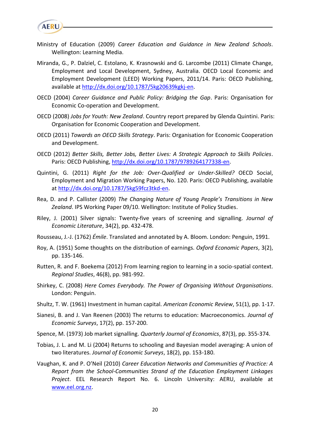

- Ministry of Education (2009) *Career Education and Guidance in New Zealand Schools*. Wellington: Learning Media.
- Miranda, G., P. Dalziel, C. Estolano, K. Krasnowski and G. Larcombe (2011) Climate Change, Employment and Local Development, Sydney, Australia. OECD Local Economic and Employment Development (LEED) Working Papers, 2011/14. Paris: OECD Publishing, available at [http://dx.doi.org/10.1787/5kg20639kgkj-en.](http://dx.doi.org/10.1787/5kg20639kgkj-en)
- OECD (2004) *Career Guidance and Public Policy: Bridging the Gap*. Paris: Organisation for Economic Co-operation and Development.
- OECD (2008) *Jobs for Youth: New Zealand*. Country report prepared by Glenda Quintini. Paris: Organisation for Economic Cooperation and Development.
- OECD (2011) *Towards an OECD Skills Strategy*. Paris: Organisation for Economic Cooperation and Development.
- OECD (2012) *Better Skills, Better Jobs, Better Lives: A Strategic Approach to Skills Policies*. Paris: OECD Publishing, [http://dx.doi.org/10.1787/9789264177338-en.](http://dx.doi.org/10.1787/9789264177338-en)
- Quintini, G. (2011) *Right for the Job: Over-Qualified or Under-Skilled?* OECD Social, Employment and Migration Working Papers, No. 120. Paris: OECD Publishing, available a[t http://dx.doi.org/10.1787/5kg59fcz3tkd-en.](http://dx.doi.org/10.1787/5kg59fcz3tkd-en)
- Rea, D. and P. Callister (2009) *The Changing Nature of Young People's Transitions in New Zealand*. IPS Working Paper 09/10. Wellington: Institute of Policy Studies.
- Riley, J. (2001) Silver signals: Twenty-five years of screening and signalling. *Journal of Economic Literature*, 34(2), pp. 432-478.
- Rousseau, J.-J. (1762) *Émile*. Translated and annotated by A. Bloom. London: Penguin, 1991.
- Roy, A. (1951) Some thoughts on the distribution of earnings. *Oxford Economic Papers*, 3(2), pp. 135-146.
- Rutten, R. and F. Boekema (2012) From learning region to learning in a socio-spatial context. *Regional Studies*, 46(8), pp. 981-992.
- Shirkey, C. (2008) *Here Comes Everybody. The Power of Organising Without Organisations*. London: Penguin.
- Shultz, T. W. (1961) Investment in human capital. *American Economic Review*, 51(1), pp. 1-17.
- Sianesi, B. and J. Van Reenen (2003) The returns to education: Macroeconomics. *Journal of Economic Surveys*, 17(2), pp. 157-200.
- Spence, M. (1973) Job market signalling. *Quarterly Journal of Economics*, 87(3), pp. 355-374.
- Tobias, J. L. and M. Li (2004) Returns to schooling and Bayesian model averaging: A union of two literatures. *Journal of Economic Surveys*, 18(2), pp. 153-180.
- Vaughan, K. and P. O'Neil (2010) *Career Education Networks and Communities of Practice: A Report from the School-Communities Strand of the Education Employment Linkages Project*. EEL Research Report No. 6. Lincoln University: AERU, available at [www.eel.org.nz.](http://www.eel.org.nz/)